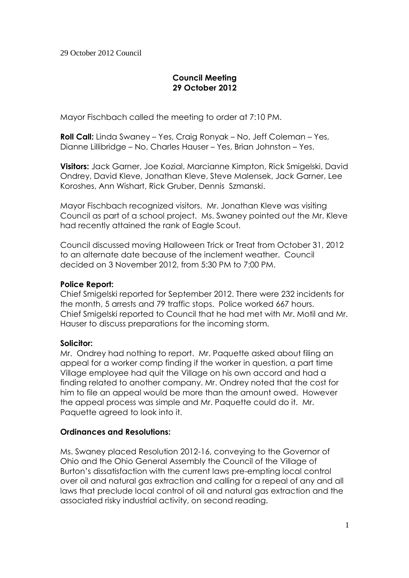# **Council Meeting 29 October 2012**

Mayor Fischbach called the meeting to order at 7:10 PM.

**Roll Call:** Linda Swaney – Yes, Craig Ronyak – No, Jeff Coleman – Yes, Dianne Lillibridge – No, Charles Hauser – Yes, Brian Johnston – Yes.

**Visitors:** Jack Garner, Joe Kozial, Marcianne Kimpton, Rick Smigelski, David Ondrey, David Kleve, Jonathan Kleve, Steve Malensek, Jack Garner, Lee Koroshes, Ann Wishart, Rick Gruber, Dennis Szmanski.

Mayor Fischbach recognized visitors. Mr. Jonathan Kleve was visiting Council as part of a school project. Ms. Swaney pointed out the Mr. Kleve had recently attained the rank of Eagle Scout.

Council discussed moving Halloween Trick or Treat from October 31, 2012 to an alternate date because of the inclement weather. Council decided on 3 November 2012, from 5:30 PM to 7:00 PM.

## **Police Report:**

Chief Smigelski reported for September 2012. There were 232 incidents for the month, 5 arrests and 79 traffic stops. Police worked 667 hours. Chief Smigelski reported to Council that he had met with Mr. Motil and Mr. Hauser to discuss preparations for the incoming storm.

### **Solicitor:**

Mr. Ondrey had nothing to report. Mr. Paquette asked about filing an appeal for a worker comp finding if the worker in question, a part time Village employee had quit the Village on his own accord and had a finding related to another company. Mr. Ondrey noted that the cost for him to file an appeal would be more than the amount owed. However the appeal process was simple and Mr. Paquette could do it. Mr. Paquette agreed to look into it.

# **Ordinances and Resolutions:**

Ms. Swaney placed Resolution 2012-16, conveying to the Governor of Ohio and the Ohio General Assembly the Council of the Village of Burton's dissatisfaction with the current laws pre-empting local control over oil and natural gas extraction and calling for a repeal of any and all laws that preclude local control of oil and natural gas extraction and the associated risky industrial activity, on second reading.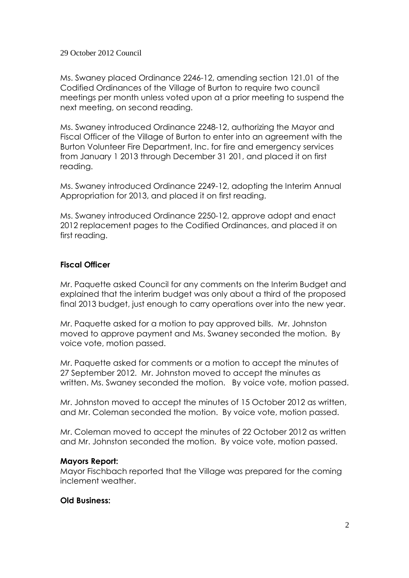#### 29 October 2012 Council

Ms. Swaney placed Ordinance 2246-12, amending section 121.01 of the Codified Ordinances of the Village of Burton to require two council meetings per month unless voted upon at a prior meeting to suspend the next meeting, on second reading.

Ms. Swaney introduced Ordinance 2248-12, authorizing the Mayor and Fiscal Officer of the Village of Burton to enter into an agreement with the Burton Volunteer Fire Department, Inc. for fire and emergency services from January 1 2013 through December 31 201, and placed it on first reading.

Ms. Swaney introduced Ordinance 2249-12, adopting the Interim Annual Appropriation for 2013, and placed it on first reading.

Ms. Swaney introduced Ordinance 2250-12, approve adopt and enact 2012 replacement pages to the Codified Ordinances, and placed it on first reading.

## **Fiscal Officer**

Mr. Paquette asked Council for any comments on the Interim Budget and explained that the interim budget was only about a third of the proposed final 2013 budget, just enough to carry operations over into the new year.

Mr. Paquette asked for a motion to pay approved bills. Mr. Johnston moved to approve payment and Ms. Swaney seconded the motion. By voice vote, motion passed.

Mr. Paquette asked for comments or a motion to accept the minutes of 27 September 2012. Mr. Johnston moved to accept the minutes as written. Ms. Swaney seconded the motion. By voice vote, motion passed.

Mr. Johnston moved to accept the minutes of 15 October 2012 as written, and Mr. Coleman seconded the motion. By voice vote, motion passed.

Mr. Coleman moved to accept the minutes of 22 October 2012 as written and Mr. Johnston seconded the motion. By voice vote, motion passed.

### **Mayors Report:**

Mayor Fischbach reported that the Village was prepared for the coming inclement weather.

### **Old Business:**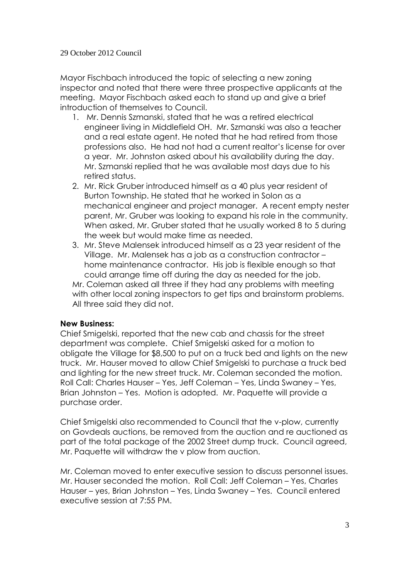### 29 October 2012 Council

Mayor Fischbach introduced the topic of selecting a new zoning inspector and noted that there were three prospective applicants at the meeting. Mayor Fischbach asked each to stand up and give a brief introduction of themselves to Council.

- 1. Mr. Dennis Szmanski, stated that he was a retired electrical engineer living in Middlefield OH. Mr. Szmanski was also a teacher and a real estate agent. He noted that he had retired from those professions also. He had not had a current realtor's license for over a year. Mr. Johnston asked about his availability during the day. Mr. Szmanski replied that he was available most days due to his retired status.
- 2. Mr. Rick Gruber introduced himself as a 40 plus year resident of Burton Township. He stated that he worked in Solon as a mechanical engineer and project manager. A recent empty nester parent, Mr. Gruber was looking to expand his role in the community. When asked, Mr. Gruber stated that he usually worked 8 to 5 during the week but would make time as needed.
- 3. Mr. Steve Malensek introduced himself as a 23 year resident of the Village. Mr. Malensek has a job as a construction contractor – home maintenance contractor. His job is flexible enough so that could arrange time off during the day as needed for the job. Mr. Coleman asked all three if they had any problems with meeting with other local zoning inspectors to get tips and brainstorm problems. All three said they did not.

### **New Business:**

Chief Smigelski, reported that the new cab and chassis for the street department was complete. Chief Smigelski asked for a motion to obligate the Village for \$8,500 to put on a truck bed and lights on the new truck. Mr. Hauser moved to allow Chief Smigelski to purchase a truck bed and lighting for the new street truck. Mr. Coleman seconded the motion. Roll Call: Charles Hauser – Yes, Jeff Coleman – Yes, Linda Swaney – Yes, Brian Johnston – Yes. Motion is adopted. Mr. Paquette will provide a purchase order.

Chief Smigelski also recommended to Council that the v-plow, currently on Govdeals auctions, be removed from the auction and re auctioned as part of the total package of the 2002 Street dump truck. Council agreed, Mr. Paquette will withdraw the v plow from auction.

Mr. Coleman moved to enter executive session to discuss personnel issues. Mr. Hauser seconded the motion. Roll Call: Jeff Coleman – Yes, Charles Hauser – yes, Brian Johnston – Yes, Linda Swaney – Yes. Council entered executive session at 7:55 PM.